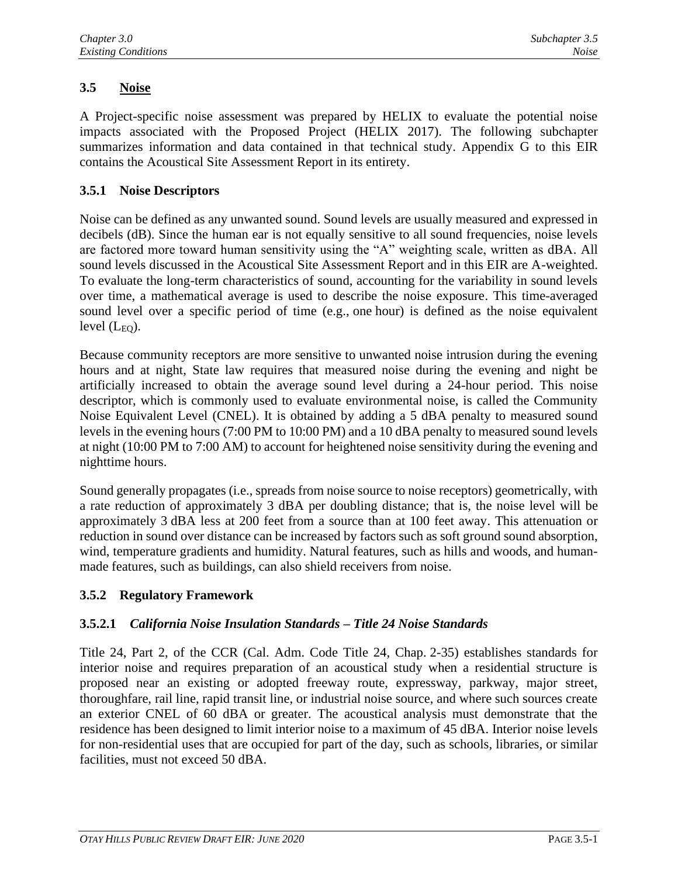# **3.5 Noise**

A Project-specific noise assessment was prepared by HELIX to evaluate the potential noise impacts associated with the Proposed Project (HELIX 2017). The following subchapter summarizes information and data contained in that technical study. Appendix G to this EIR contains the Acoustical Site Assessment Report in its entirety.

## **3.5.1 Noise Descriptors**

Noise can be defined as any unwanted sound. Sound levels are usually measured and expressed in decibels (dB). Since the human ear is not equally sensitive to all sound frequencies, noise levels are factored more toward human sensitivity using the "A" weighting scale, written as dBA. All sound levels discussed in the Acoustical Site Assessment Report and in this EIR are A-weighted. To evaluate the long-term characteristics of sound, accounting for the variability in sound levels over time, a mathematical average is used to describe the noise exposure. This time-averaged sound level over a specific period of time (e.g., one hour) is defined as the noise equivalent level  $(L_{EQ})$ .

Because community receptors are more sensitive to unwanted noise intrusion during the evening hours and at night, State law requires that measured noise during the evening and night be artificially increased to obtain the average sound level during a 24-hour period. This noise descriptor, which is commonly used to evaluate environmental noise, is called the Community Noise Equivalent Level (CNEL). It is obtained by adding a 5 dBA penalty to measured sound levels in the evening hours (7:00 PM to 10:00 PM) and a 10 dBA penalty to measured sound levels at night (10:00 PM to 7:00 AM) to account for heightened noise sensitivity during the evening and nighttime hours.

Sound generally propagates (i.e., spreads from noise source to noise receptors) geometrically, with a rate reduction of approximately 3 dBA per doubling distance; that is, the noise level will be approximately 3 dBA less at 200 feet from a source than at 100 feet away. This attenuation or reduction in sound over distance can be increased by factors such as soft ground sound absorption, wind, temperature gradients and humidity. Natural features, such as hills and woods, and humanmade features, such as buildings, can also shield receivers from noise.

## **3.5.2 Regulatory Framework**

# **3.5.2.1** *California Noise Insulation Standards – Title 24 Noise Standards*

Title 24, Part 2, of the CCR (Cal. Adm. Code Title 24, Chap. 2-35) establishes standards for interior noise and requires preparation of an acoustical study when a residential structure is proposed near an existing or adopted freeway route, expressway, parkway, major street, thoroughfare, rail line, rapid transit line, or industrial noise source, and where such sources create an exterior CNEL of 60 dBA or greater. The acoustical analysis must demonstrate that the residence has been designed to limit interior noise to a maximum of 45 dBA. Interior noise levels for non-residential uses that are occupied for part of the day, such as schools, libraries, or similar facilities, must not exceed 50 dBA.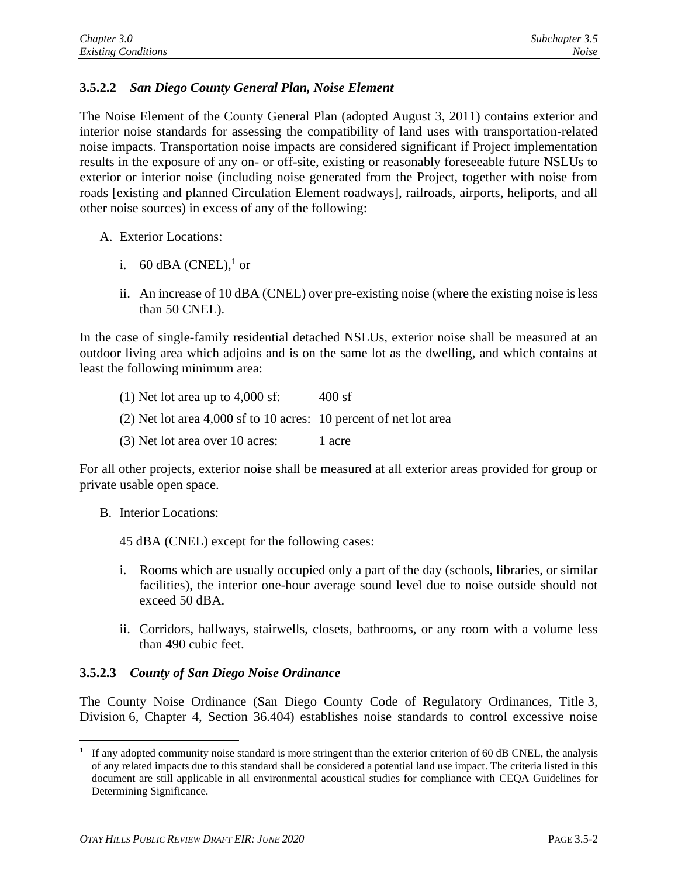## **3.5.2.2** *San Diego County General Plan, Noise Element*

The Noise Element of the County General Plan (adopted August 3, 2011) contains exterior and interior noise standards for assessing the compatibility of land uses with transportation-related noise impacts. Transportation noise impacts are considered significant if Project implementation results in the exposure of any on- or off-site, existing or reasonably foreseeable future NSLUs to exterior or interior noise (including noise generated from the Project, together with noise from roads [existing and planned Circulation Element roadways], railroads, airports, heliports, and all other noise sources) in excess of any of the following:

- A. Exterior Locations:
	- i. 60 dBA (CNEL),<sup>1</sup> or
	- ii. An increase of 10 dBA (CNEL) over pre-existing noise (where the existing noise is less than 50 CNEL).

In the case of single-family residential detached NSLUs, exterior noise shall be measured at an outdoor living area which adjoins and is on the same lot as the dwelling, and which contains at least the following minimum area:

(1) Net lot area up to  $4,000$  sf:  $400$  sf (2) Net lot area 4,000 sf to 10 acres: 10 percent of net lot area (3) Net lot area over 10 acres: 1 acre

For all other projects, exterior noise shall be measured at all exterior areas provided for group or private usable open space.

B. Interior Locations:

45 dBA (CNEL) except for the following cases:

- i. Rooms which are usually occupied only a part of the day (schools, libraries, or similar facilities), the interior one-hour average sound level due to noise outside should not exceed 50 dBA.
- ii. Corridors, hallways, stairwells, closets, bathrooms, or any room with a volume less than 490 cubic feet.

## **3.5.2.3** *County of San Diego Noise Ordinance*

The County Noise Ordinance (San Diego County Code of Regulatory Ordinances, Title 3, Division 6, Chapter 4, Section 36.404) establishes noise standards to control excessive noise

<sup>&</sup>lt;sup>1</sup> If any adopted community noise standard is more stringent than the exterior criterion of 60 dB CNEL, the analysis of any related impacts due to this standard shall be considered a potential land use impact. The criteria listed in this document are still applicable in all environmental acoustical studies for compliance with CEQA Guidelines for Determining Significance.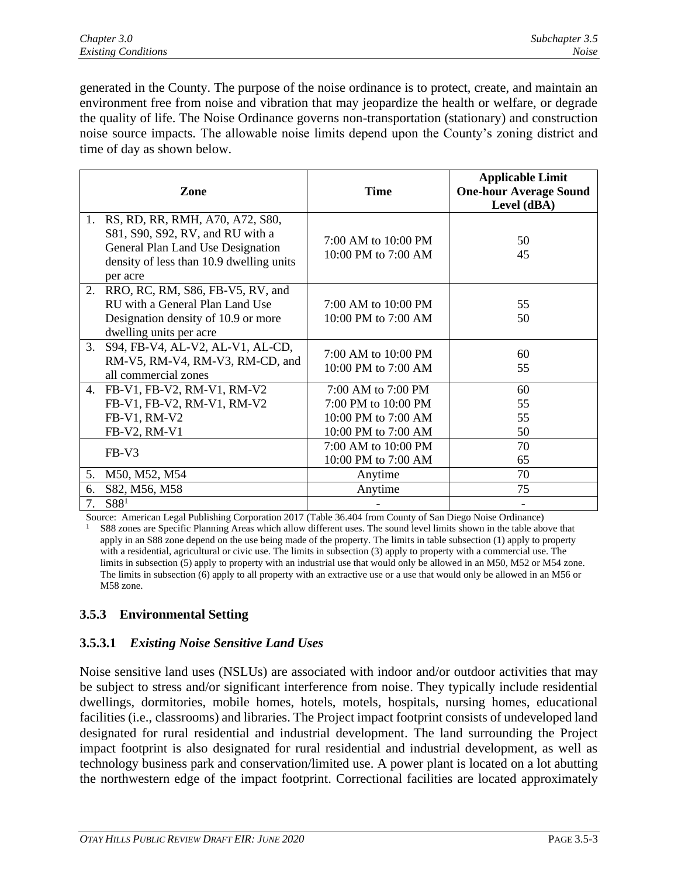generated in the County. The purpose of the noise ordinance is to protect, create, and maintain an environment free from noise and vibration that may jeopardize the health or welfare, or degrade the quality of life. The Noise Ordinance governs non-transportation (stationary) and construction noise source impacts. The allowable noise limits depend upon the County's zoning district and time of day as shown below.

|          | Zone                                                                                                                                                             | <b>Time</b>                                                                             | <b>Applicable Limit</b><br><b>One-hour Average Sound</b><br>Level (dBA) |
|----------|------------------------------------------------------------------------------------------------------------------------------------------------------------------|-----------------------------------------------------------------------------------------|-------------------------------------------------------------------------|
| 1.       | RS, RD, RR, RMH, A70, A72, S80,<br>S81, S90, S92, RV, and RU with a<br>General Plan Land Use Designation<br>density of less than 10.9 dwelling units<br>per acre | 7:00 AM to 10:00 PM<br>10:00 PM to 7:00 AM                                              | 50<br>45                                                                |
| 2.       | RRO, RC, RM, S86, FB-V5, RV, and<br>RU with a General Plan Land Use<br>Designation density of 10.9 or more<br>dwelling units per acre                            | 7:00 AM to 10:00 PM<br>10:00 PM to 7:00 AM                                              | 55<br>50                                                                |
| 3.       | S94, FB-V4, AL-V2, AL-V1, AL-CD,<br>RM-V5, RM-V4, RM-V3, RM-CD, and<br>all commercial zones                                                                      | 7:00 AM to 10:00 PM<br>10:00 PM to 7:00 AM                                              | 60<br>55                                                                |
|          | 4. FB-V1, FB-V2, RM-V1, RM-V2<br>FB-V1, FB-V2, RM-V1, RM-V2<br>FB-V1, RM-V2<br>FB-V2, RM-V1                                                                      | 7:00 AM to 7:00 PM<br>7:00 PM to 10:00 PM<br>10:00 PM to 7:00 AM<br>10:00 PM to 7:00 AM | 60<br>55<br>55<br>50                                                    |
|          | FB-V3                                                                                                                                                            | 7:00 AM to 10:00 PM<br>10:00 PM to 7:00 AM                                              | 70<br>65                                                                |
| 5.       | M50, M52, M54                                                                                                                                                    | Anytime                                                                                 | 70                                                                      |
| 6.<br>7. | S82, M56, M58<br>S88 <sup>1</sup>                                                                                                                                | Anytime                                                                                 | 75                                                                      |

Source: American Legal Publishing Corporation 2017 (Table 36.404 from County of San Diego Noise Ordinance) <sup>1</sup>S88 zones are Specific Planning Areas which allow different uses. The sound level limits shown in the table above that apply in an S88 zone depend on the use being made of the property. The limits in table subsection (1) apply to property with a residential, agricultural or civic use. The limits in subsection (3) apply to property with a commercial use. The limits in subsection (5) apply to property with an industrial use that would only be allowed in an M50, M52 or M54 zone. The limits in subsection (6) apply to all property with an extractive use or a use that would only be allowed in an M56 or M58 zone.

# **3.5.3 Environmental Setting**

## **3.5.3.1** *Existing Noise Sensitive Land Uses*

Noise sensitive land uses (NSLUs) are associated with indoor and/or outdoor activities that may be subject to stress and/or significant interference from noise. They typically include residential dwellings, dormitories, mobile homes, hotels, motels, hospitals, nursing homes, educational facilities (i.e., classrooms) and libraries. The Project impact footprint consists of undeveloped land designated for rural residential and industrial development. The land surrounding the Project impact footprint is also designated for rural residential and industrial development, as well as technology business park and conservation/limited use. A power plant is located on a lot abutting the northwestern edge of the impact footprint. Correctional facilities are located approximately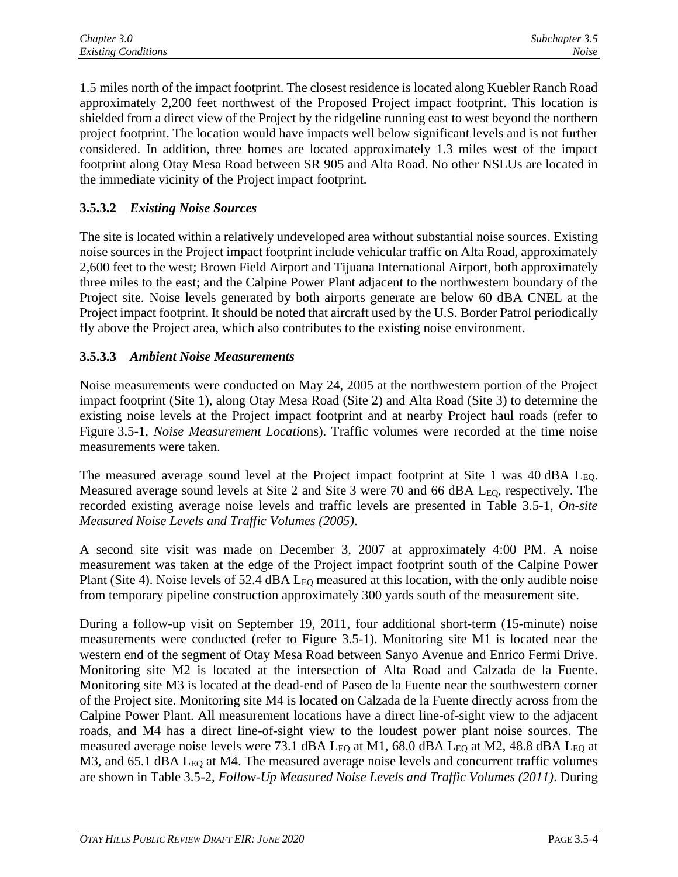1.5 miles north of the impact footprint. The closest residence is located along Kuebler Ranch Road approximately 2,200 feet northwest of the Proposed Project impact footprint. This location is shielded from a direct view of the Project by the ridgeline running east to west beyond the northern project footprint. The location would have impacts well below significant levels and is not further considered. In addition, three homes are located approximately 1.3 miles west of the impact footprint along Otay Mesa Road between SR 905 and Alta Road. No other NSLUs are located in the immediate vicinity of the Project impact footprint.

## **3.5.3.2** *Existing Noise Sources*

The site is located within a relatively undeveloped area without substantial noise sources. Existing noise sources in the Project impact footprint include vehicular traffic on Alta Road, approximately 2,600 feet to the west; Brown Field Airport and Tijuana International Airport, both approximately three miles to the east; and the Calpine Power Plant adjacent to the northwestern boundary of the Project site. Noise levels generated by both airports generate are below 60 dBA CNEL at the Project impact footprint. It should be noted that aircraft used by the U.S. Border Patrol periodically fly above the Project area, which also contributes to the existing noise environment.

## **3.5.3.3** *Ambient Noise Measurements*

Noise measurements were conducted on May 24, 2005 at the northwestern portion of the Project impact footprint (Site 1), along Otay Mesa Road (Site 2) and Alta Road (Site 3) to determine the existing noise levels at the Project impact footprint and at nearby Project haul roads (refer to Figure 3.5-1, *Noise Measurement Locatio*ns). Traffic volumes were recorded at the time noise measurements were taken.

The measured average sound level at the Project impact footprint at Site 1 was 40 dBA L<sub>EQ</sub>. Measured average sound levels at Site 2 and Site 3 were 70 and 66 dBA L<sub>EO</sub>, respectively. The recorded existing average noise levels and traffic levels are presented in Table 3.5-1, *On-site Measured Noise Levels and Traffic Volumes (2005)*.

A second site visit was made on December 3, 2007 at approximately 4:00 PM. A noise measurement was taken at the edge of the Project impact footprint south of the Calpine Power Plant (Site 4). Noise levels of 52.4 dBA L<sub>EO</sub> measured at this location, with the only audible noise from temporary pipeline construction approximately 300 yards south of the measurement site.

During a follow-up visit on September 19, 2011, four additional short-term (15-minute) noise measurements were conducted (refer to Figure 3.5-1). Monitoring site M1 is located near the western end of the segment of Otay Mesa Road between Sanyo Avenue and Enrico Fermi Drive. Monitoring site M2 is located at the intersection of Alta Road and Calzada de la Fuente. Monitoring site M3 is located at the dead-end of Paseo de la Fuente near the southwestern corner of the Project site. Monitoring site M4 is located on Calzada de la Fuente directly across from the Calpine Power Plant. All measurement locations have a direct line-of-sight view to the adjacent roads, and M4 has a direct line-of-sight view to the loudest power plant noise sources. The measured average noise levels were 73.1 dBA L<sub>EQ</sub> at M1, 68.0 dBA L<sub>EQ</sub> at M2, 48.8 dBA L<sub>EQ</sub> at M3, and  $65.1$  dBA  $L_{EQ}$  at M4. The measured average noise levels and concurrent traffic volumes are shown in Table 3.5-2, *Follow-Up Measured Noise Levels and Traffic Volumes (2011)*. During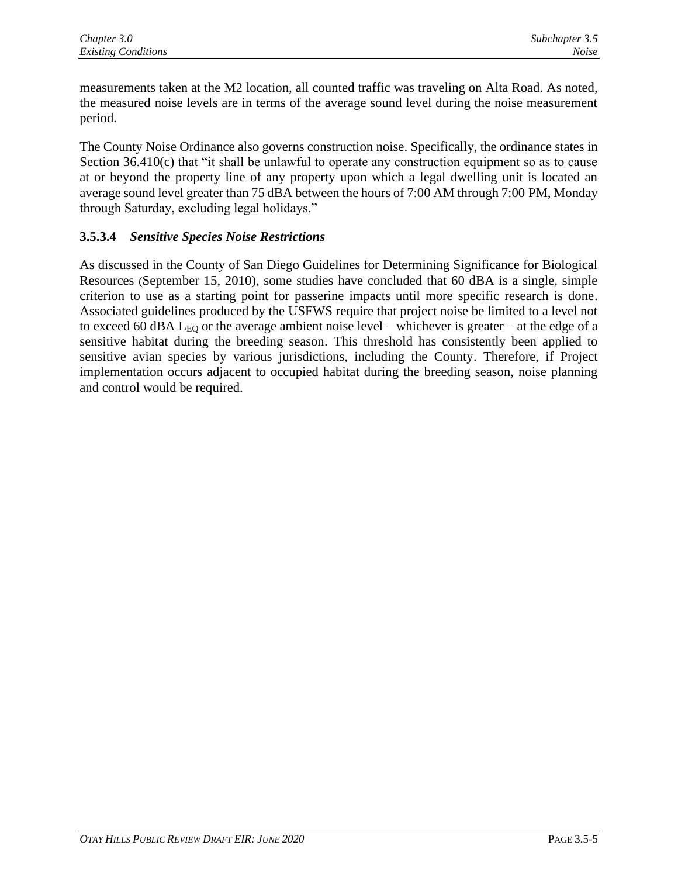measurements taken at the M2 location, all counted traffic was traveling on Alta Road. As noted, the measured noise levels are in terms of the average sound level during the noise measurement period.

The County Noise Ordinance also governs construction noise. Specifically, the ordinance states in Section  $36.410(c)$  that "it shall be unlawful to operate any construction equipment so as to cause at or beyond the property line of any property upon which a legal dwelling unit is located an average sound level greater than 75 dBA between the hours of 7:00 AM through 7:00 PM, Monday through Saturday, excluding legal holidays."

## **3.5.3.4** *Sensitive Species Noise Restrictions*

As discussed in the County of San Diego Guidelines for Determining Significance for Biological Resources (September 15, 2010), some studies have concluded that 60 dBA is a single, simple criterion to use as a starting point for passerine impacts until more specific research is done. Associated guidelines produced by the USFWS require that project noise be limited to a level not to exceed 60 dBA  $L_{EO}$  or the average ambient noise level – whichever is greater – at the edge of a sensitive habitat during the breeding season. This threshold has consistently been applied to sensitive avian species by various jurisdictions, including the County. Therefore, if Project implementation occurs adjacent to occupied habitat during the breeding season, noise planning and control would be required.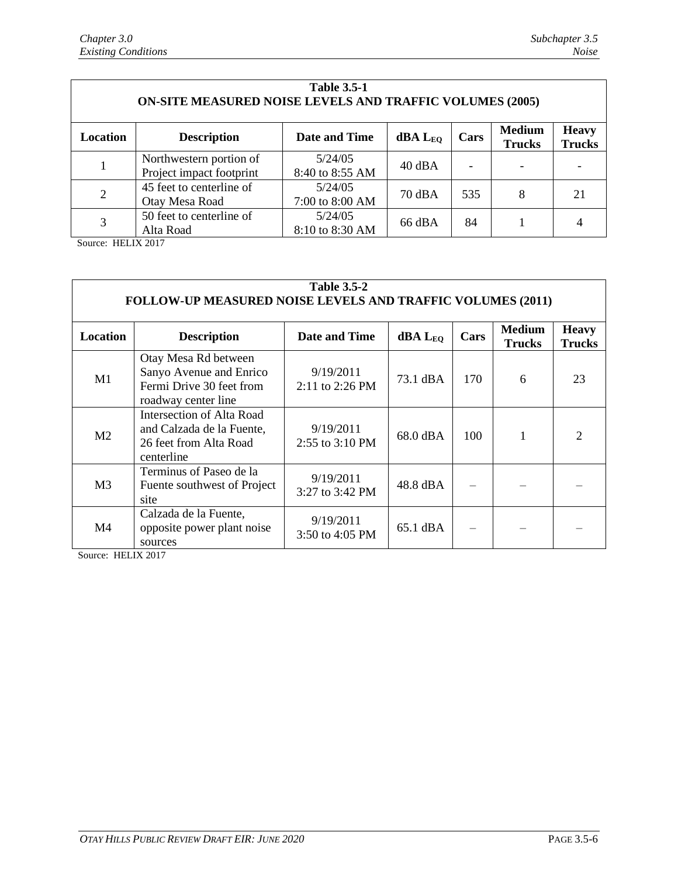| <b>Table 3.5-1</b><br><b>ON-SITE MEASURED NOISE LEVELS AND TRAFFIC VOLUMES (2005)</b> |                                                     |                            |                            |      |                                |                               |  |  |  |
|---------------------------------------------------------------------------------------|-----------------------------------------------------|----------------------------|----------------------------|------|--------------------------------|-------------------------------|--|--|--|
| Location                                                                              | <b>Description</b>                                  | Date and Time              | <b>dBA</b> L <sub>EO</sub> | Cars | <b>Medium</b><br><b>Trucks</b> | <b>Heavy</b><br><b>Trucks</b> |  |  |  |
|                                                                                       | Northwestern portion of<br>Project impact footprint | 5/24/05<br>8:40 to 8:55 AM | $40$ dBA                   |      |                                |                               |  |  |  |
| $\overline{2}$                                                                        | 45 feet to centerline of<br>Otay Mesa Road          | 5/24/05<br>7:00 to 8:00 AM | 70 dBA                     | 535  | 8                              | 21                            |  |  |  |
| 3                                                                                     | 50 feet to centerline of<br>Alta Road               | 5/24/05<br>8:10 to 8:30 AM | 66 dBA                     | 84   |                                |                               |  |  |  |

Source: HELIX 2017

| <b>Table 3.5-2</b><br><b>FOLLOW-UP MEASURED NOISE LEVELS AND TRAFFIC VOLUMES (2011)</b> |                                                                                                    |                              |                |      |                                |                               |  |  |  |
|-----------------------------------------------------------------------------------------|----------------------------------------------------------------------------------------------------|------------------------------|----------------|------|--------------------------------|-------------------------------|--|--|--|
| <b>Location</b>                                                                         | <b>Description</b>                                                                                 | Date and Time                | $dBA$ $L_{EO}$ | Cars | <b>Medium</b><br><b>Trucks</b> | <b>Heavy</b><br><b>Trucks</b> |  |  |  |
| M1                                                                                      | Otay Mesa Rd between<br>Sanyo Avenue and Enrico<br>Fermi Drive 30 feet from<br>roadway center line | 9/19/2011<br>2:11 to 2:26 PM | 73.1 dBA       | 170  | 6                              | 23                            |  |  |  |
| M <sub>2</sub>                                                                          | Intersection of Alta Road<br>and Calzada de la Fuente,<br>26 feet from Alta Road<br>centerline     | 9/19/2011<br>2:55 to 3:10 PM | 68.0 dBA       | 100  | 1                              |                               |  |  |  |
| M <sub>3</sub>                                                                          | Terminus of Paseo de la<br>Fuente southwest of Project<br>site                                     | 9/19/2011<br>3:27 to 3:42 PM | 48.8 dBA       |      |                                |                               |  |  |  |
| M <sub>4</sub>                                                                          | Calzada de la Fuente,<br>opposite power plant noise<br>sources                                     | 9/19/2011<br>3:50 to 4:05 PM | 65.1 dBA       |      |                                |                               |  |  |  |

Source: HELIX 2017